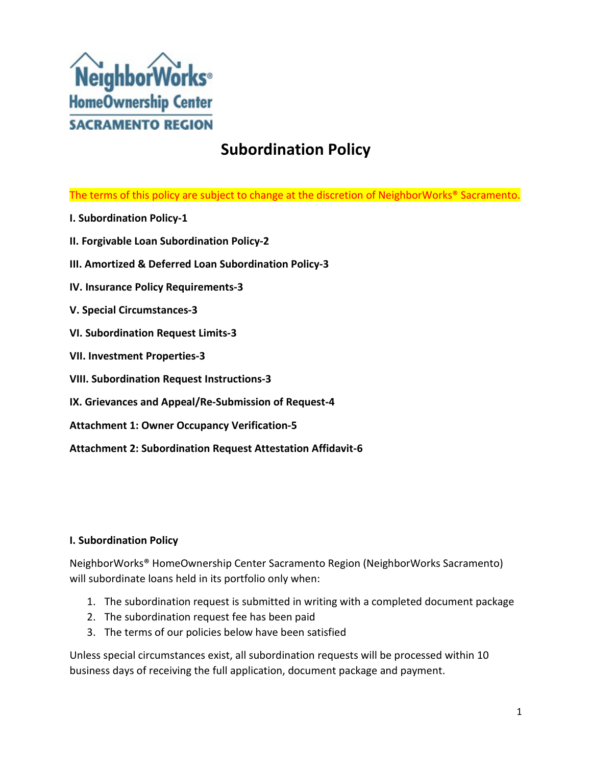

# **Subordination Policy**

The terms of this policy are subject to change at the discretion of NeighborWorks® Sacramento.

- **I. Subordination Policy-1**
- **II. Forgivable Loan Subordination Policy-2**
- **III. Amortized & Deferred Loan Subordination Policy-3**
- **IV. Insurance Policy Requirements-3**
- **V. Special Circumstances-3**
- **VI. Subordination Request Limits-3**
- **VII. Investment Properties-3**
- **VIII. Subordination Request Instructions-3**
- **IX. Grievances and Appeal/Re-Submission of Request-4**
- **Attachment 1: Owner Occupancy Verification-5**
- **Attachment 2: Subordination Request Attestation Affidavit-6**

#### **I. Subordination Policy**

NeighborWorks® HomeOwnership Center Sacramento Region (NeighborWorks Sacramento) will subordinate loans held in its portfolio only when:

- 1. The subordination request is submitted in writing with a completed document package
- 2. The subordination request fee has been paid
- 3. The terms of our policies below have been satisfied

Unless special circumstances exist, all subordination requests will be processed within 10 business days of receiving the full application, document package and payment.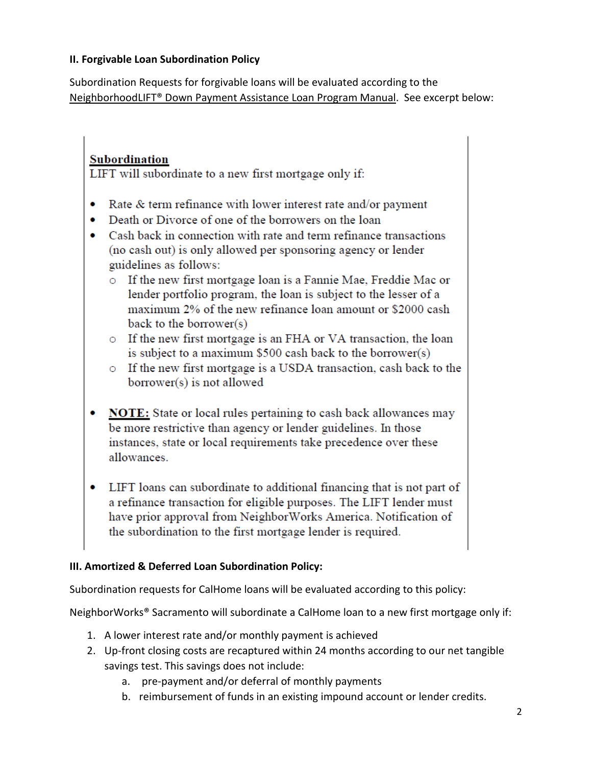### **II. Forgivable Loan Subordination Policy**

Subordination Requests for forgivable loans will be evaluated according to the NeighborhoodLIFT® Down Payment Assistance Loan Program Manual. See excerpt below:

# Subordination

LIFT will subordinate to a new first mortgage only if:

- Rate  $&$  term refinance with lower interest rate and/or payment
- Death or Divorce of one of the borrowers on the loan  $\bullet$
- Cash back in connection with rate and term refinance transactions (no cash out) is only allowed per sponsoring agency or lender guidelines as follows:
	- o If the new first mortgage loan is a Fannie Mae, Freddie Mac or lender portfolio program, the loan is subject to the lesser of a maximum 2% of the new refinance loan amount or \$2000 cash back to the borrower $(s)$
	- o If the new first mortgage is an FHA or VA transaction, the loan is subject to a maximum \$500 cash back to the borrower(s)
	- o If the new first mortgage is a USDA transaction, cash back to the borrower(s) is not allowed
- NOTE: State or local rules pertaining to cash back allowances may be more restrictive than agency or lender guidelines. In those instances, state or local requirements take precedence over these allowances.
- LIFT loans can subordinate to additional financing that is not part of a refinance transaction for eligible purposes. The LIFT lender must have prior approval from NeighborWorks America. Notification of the subordination to the first mortgage lender is required.

## **III. Amortized & Deferred Loan Subordination Policy:**

Subordination requests for CalHome loans will be evaluated according to this policy:

NeighborWorks® Sacramento will subordinate a CalHome loan to a new first mortgage only if:

- 1. A lower interest rate and/or monthly payment is achieved
- 2. Up-front closing costs are recaptured within 24 months according to our net tangible savings test. This savings does not include:
	- a. pre-payment and/or deferral of monthly payments
	- b. reimbursement of funds in an existing impound account or lender credits.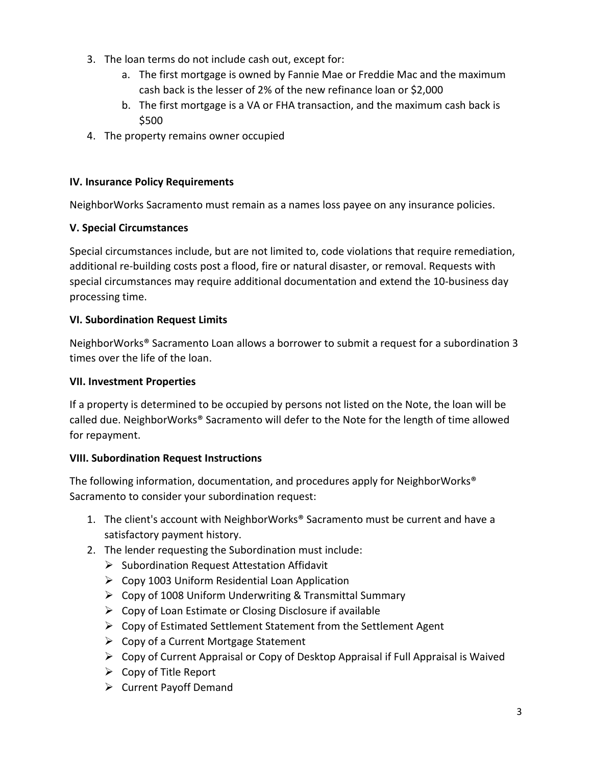- 3. The loan terms do not include cash out, except for:
	- a. The first mortgage is owned by Fannie Mae or Freddie Mac and the maximum cash back is the lesser of 2% of the new refinance loan or \$2,000
	- b. The first mortgage is a VA or FHA transaction, and the maximum cash back is \$500
- 4. The property remains owner occupied

#### **IV. Insurance Policy Requirements**

NeighborWorks Sacramento must remain as a names loss payee on any insurance policies.

### **V. Special Circumstances**

Special circumstances include, but are not limited to, code violations that require remediation, additional re-building costs post a flood, fire or natural disaster, or removal. Requests with special circumstances may require additional documentation and extend the 10-business day processing time.

#### **VI. Subordination Request Limits**

NeighborWorks® Sacramento Loan allows a borrower to submit a request for a subordination 3 times over the life of the loan.

### **VII. Investment Properties**

If a property is determined to be occupied by persons not listed on the Note, the loan will be called due. NeighborWorks® Sacramento will defer to the Note for the length of time allowed for repayment.

#### **VIII. Subordination Request Instructions**

The following information, documentation, and procedures apply for NeighborWorks® Sacramento to consider your subordination request:

- 1. The client's account with NeighborWorks® Sacramento must be current and have a satisfactory payment history.
- 2. The lender requesting the Subordination must include:
	- $\triangleright$  Subordination Request Attestation Affidavit
	- $\triangleright$  Copy 1003 Uniform Residential Loan Application
	- $\triangleright$  Copy of 1008 Uniform Underwriting & Transmittal Summary
	- $\triangleright$  Copy of Loan Estimate or Closing Disclosure if available
	- $\triangleright$  Copy of Estimated Settlement Statement from the Settlement Agent
	- $\triangleright$  Copy of a Current Mortgage Statement
	- $\triangleright$  Copy of Current Appraisal or Copy of Desktop Appraisal if Full Appraisal is Waived
	- $\triangleright$  Copy of Title Report
	- $\triangleright$  Current Payoff Demand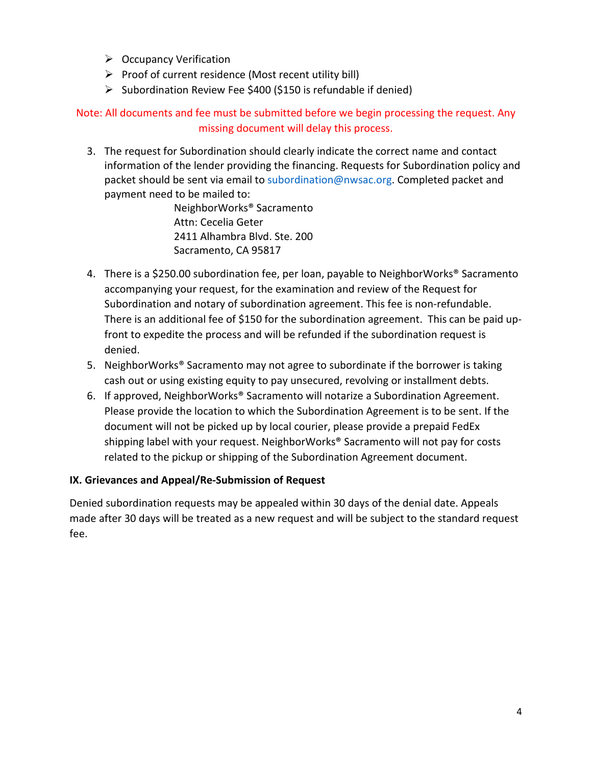- $\triangleright$  Occupancy Verification
- $\triangleright$  Proof of current residence (Most recent utility bill)
- $\triangleright$  Subordination Review Fee \$400 (\$150 is refundable if denied)

Note: All documents and fee must be submitted before we begin processing the request. Any missing document will delay this process.

3. The request for Subordination should clearly indicate the correct name and contact information of the lender providing the financing. Requests for Subordination policy and packet should be sent via email to subordination@nwsac.org. Completed packet and payment need to be mailed to:

> NeighborWorks® Sacramento Attn: Cecelia Geter 2411 Alhambra Blvd. Ste. 200 Sacramento, CA 95817

- 4. There is a \$250.00 subordination fee, per loan, payable to NeighborWorks® Sacramento accompanying your request, for the examination and review of the Request for Subordination and notary of subordination agreement. This fee is non-refundable. There is an additional fee of \$150 for the subordination agreement. This can be paid upfront to expedite the process and will be refunded if the subordination request is denied.
- 5. NeighborWorks® Sacramento may not agree to subordinate if the borrower is taking cash out or using existing equity to pay unsecured, revolving or installment debts.
- 6. If approved, NeighborWorks® Sacramento will notarize a Subordination Agreement. Please provide the location to which the Subordination Agreement is to be sent. If the document will not be picked up by local courier, please provide a prepaid FedEx shipping label with your request. NeighborWorks® Sacramento will not pay for costs related to the pickup or shipping of the Subordination Agreement document.

#### **IX. Grievances and Appeal/Re-Submission of Request**

Denied subordination requests may be appealed within 30 days of the denial date. Appeals made after 30 days will be treated as a new request and will be subject to the standard request fee.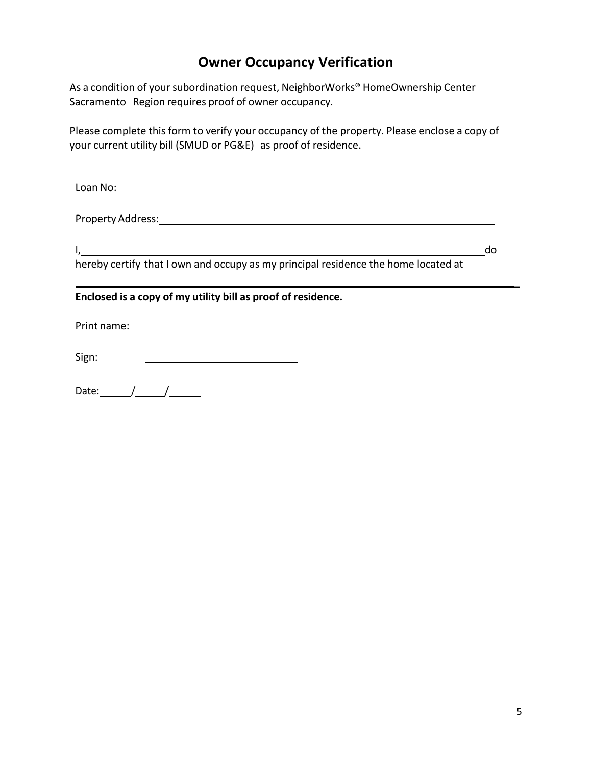# **Owner Occupancy Verification**

As a condition of your subordination request, NeighborWorks® HomeOwnership Center Sacramento Region requires proof of owner occupancy.

Please complete this form to verify your occupancy of the property. Please enclose a copy of your current utility bill (SMUD or PG&E) as proof of residence.

| Loan No:                                                                                                      |    |
|---------------------------------------------------------------------------------------------------------------|----|
| Property Address: No. 1997 - All Annual American School and The American School and The American School and T |    |
|                                                                                                               | do |
| hereby certify that I own and occupy as my principal residence the home located at                            |    |
| Enclosed is a copy of my utility bill as proof of residence.                                                  |    |
| Print name:                                                                                                   |    |
| Sign:                                                                                                         |    |
| Date:                                                                                                         |    |

 $\overline{a}$